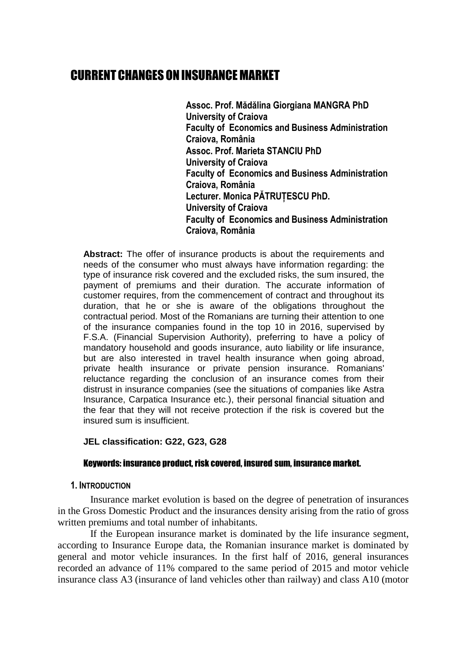## CURRENT CHANGES ON INSURANCE MARKET

**Assoc. Prof. Mădălina Giorgiana MANGRA PhD University of Craiova Faculty of Economics and Business Administration Craiova, România Assoc. Prof. Marieta STANCIU PhD University of Craiova Faculty of Economics and Business Administration Craiova, România Lecturer. Monica PĂTRUȚESCU PhD. University of Craiova Faculty of Economics and Business Administration Craiova, România** 

**Abstract:** The offer of insurance products is about the requirements and needs of the consumer who must always have information regarding: the type of insurance risk covered and the excluded risks, the sum insured, the payment of premiums and their duration. The accurate information of customer requires, from the commencement of contract and throughout its duration, that he or she is aware of the obligations throughout the contractual period. Most of the Romanians are turning their attention to one of the insurance companies found in the top 10 in 2016, supervised by F.S.A. (Financial Supervision Authority), preferring to have a policy of mandatory household and goods insurance, auto liability or life insurance, but are also interested in travel health insurance when going abroad, private health insurance or private pension insurance. Romanians' reluctance regarding the conclusion of an insurance comes from their distrust in insurance companies (see the situations of companies like Astra Insurance, Carpatica Insurance etc.), their personal financial situation and the fear that they will not receive protection if the risk is covered but the insured sum is insufficient.

#### **JEL classification: G22, G23, G28**

### Keywords: insurance product, risk covered, insured sum, insurance market.

#### **1. INTRODUCTION**

Insurance market evolution is based on the degree of penetration of insurances in the Gross Domestic Product and the insurances density arising from the ratio of gross written premiums and total number of inhabitants.

If the European insurance market is dominated by the life insurance segment, according to Insurance Europe data, the Romanian insurance market is dominated by general and motor vehicle insurances. In the first half of 2016, general insurances recorded an advance of 11% compared to the same period of 2015 and motor vehicle insurance class A3 (insurance of land vehicles other than railway) and class A10 (motor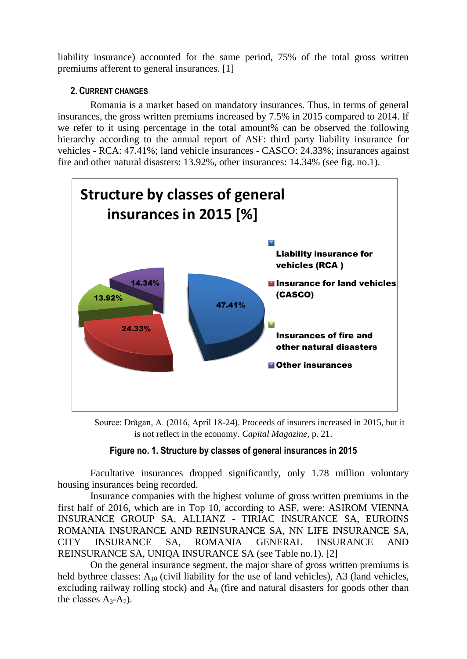liability insurance) accounted for the same period, 75% of the total gross written premiums afferent to general insurances. [1]

## **2. CURRENT CHANGES**

Romania is a market based on mandatory insurances. Thus, in terms of general insurances, the gross written premiums increased by 7.5% in 2015 compared to 2014. If we refer to it using percentage in the total amount% can be observed the following hierarchy according to the annual report of ASF: third party liability insurance for vehicles - RCA: 47.41%; land vehicle insurances - CASCO: 24.33%; insurances against fire and other natural disasters: 13.92%, other insurances: 14.34% (see fig. no.1).



Source: Drăgan, A. (2016, April 18-24). Proceeds of insurers increased in 2015, but it is not reflect in the economy. *Capital Magazine*, p. 21.

## **Figure no. 1. Structure by classes of general insurances in 2015**

Facultative insurances dropped significantly, only 1.78 million voluntary housing insurances being recorded.

Insurance companies with the highest volume of gross written premiums in the first half of 2016, which are in Top 10, according to ASF, were: ASIROM VIENNA INSURANCE GROUP SA, ALLIANZ - TIRIAC INSURANCE SA, EUROINS ROMANIA INSURANCE AND REINSURANCE SA, NN LIFE INSURANCE SA, CITY INSURANCE SA, ROMANIA GENERAL INSURANCE AND REINSURANCE SA, UNIQA INSURANCE SA (see Table no.1). [2]

On the general insurance segment, the major share of gross written premiums is held bythree classes:  $A_{10}$  (civil liability for the use of land vehicles), A3 (land vehicles, excluding railway rolling stock) and  $A_8$  (fire and natural disasters for goods other than the classes  $A_3 - A_7$ ).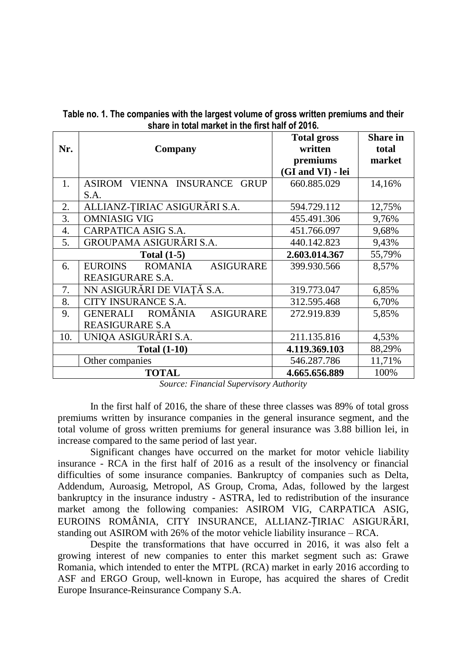| Nr.                 | Company                                                           | <b>Total gross</b><br>written<br>premiums<br>(GI and VI) - lei | <b>Share in</b><br>total<br>market |
|---------------------|-------------------------------------------------------------------|----------------------------------------------------------------|------------------------------------|
| 1.                  | ASIROM VIENNA INSURANCE<br><b>GRUP</b><br>S.A.                    | 660.885.029                                                    | 14,16%                             |
| 2.                  | ALLIANZ-TIRIAC ASIGURĀRI S.A.                                     | 594.729.112                                                    | 12,75%                             |
| 3.                  | <b>OMNIASIG VIG</b>                                               | 455.491.306                                                    | 9,76%                              |
| 4.                  | CARPATICA ASIG S.A.                                               | 451.766.097                                                    | 9,68%                              |
| 5.                  | GROUPAMA ASIGURĂRI S.A.                                           | 440.142.823                                                    | 9,43%                              |
|                     | Total $(1-5)$                                                     | 2.603.014.367                                                  | 55,79%                             |
| 6.                  | <b>EUROINS</b><br>ROMANIA<br><b>ASIGURARE</b><br>REASIGURARE S.A. | 399.930.566                                                    | 8,57%                              |
| 7.                  | NN ASIGURĂRI DE VIAȚĂ S.A.                                        | 319.773.047                                                    | 6,85%                              |
| 8.                  | CITY INSURANCE S.A.                                               | 312.595.468                                                    | 6,70%                              |
| 9.                  | ROMÂNIA<br><b>GENERALI</b><br><b>ASIGURARE</b>                    | 272.919.839                                                    | 5,85%                              |
|                     | <b>REASIGURARE S.A</b>                                            |                                                                |                                    |
| 10.                 | UNIQA ASIGURĀRI S.A.                                              | 211.135.816                                                    | 4,53%                              |
| <b>Total (1-10)</b> |                                                                   | 4.119.369.103                                                  | 88,29%                             |
|                     | Other companies                                                   | 546.287.786                                                    | 11,71%                             |
|                     | <b>TOTAL</b>                                                      | 4.665.656.889                                                  | 100%                               |

**Table no. 1. The companies with the largest volume of gross written premiums and their share in total market in the first half of 2016.**

*Source: Financial Supervisory Authority*

In the first half of 2016, the share of these three classes was 89% of total gross premiums written by insurance companies in the general insurance segment, and the total volume of gross written premiums for general insurance was 3.88 billion lei, in increase compared to the same period of last year.

Significant changes have occurred on the market for motor vehicle liability insurance - RCA in the first half of 2016 as a result of the insolvency or financial difficulties of some insurance companies. Bankruptcy of companies such as Delta, Addendum, Auroasig, Metropol, AS Group, Croma, Adas, followed by the largest bankruptcy in the insurance industry - ASTRA, led to redistribution of the insurance market among the following companies: ASIROM VIG, CARPATICA ASIG, EUROINS ROMÂNIA, CITY INSURANCE, ALLIANZ-ȚIRIAC ASIGURĂRI, standing out ASIROM with 26% of the motor vehicle liability insurance – RCA.

Despite the transformations that have occurred in 2016, it was also felt a growing interest of new companies to enter this market segment such as: Grawe Romania, which intended to enter the MTPL (RCA) market in early 2016 according to ASF and ERGO Group, well-known in Europe, has acquired the shares of Credit Europe Insurance-Reinsurance Company S.A.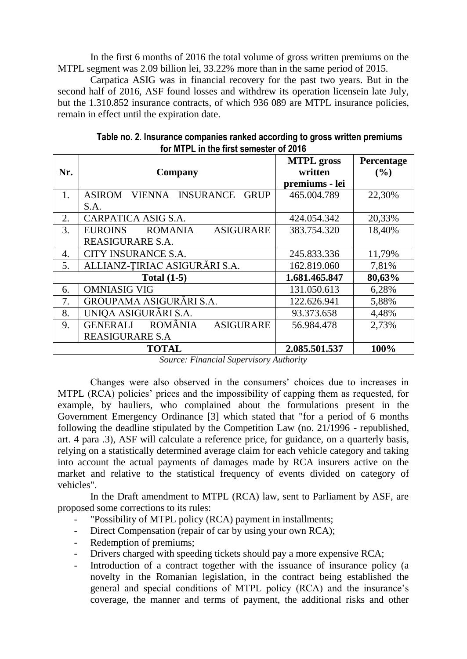In the first 6 months of 2016 the total volume of gross written premiums on the MTPL segment was 2.09 billion lei, 33.22% more than in the same period of 2015.

Carpatica ASIG was in financial recovery for the past two years. But in the second half of 2016, ASF found losses and withdrew its operation licensein late July, but the 1.310.852 insurance contracts, of which 936 089 are MTPL insurance policies, remain in effect until the expiration date.

|     |                                                       | <b>MTPL</b> gross | Percentage |  |
|-----|-------------------------------------------------------|-------------------|------------|--|
| Nr. | Company                                               | written           | (%)        |  |
|     |                                                       | premiums - lei    |            |  |
| 1.  | VIENNA INSURANCE<br><b>ASIROM</b><br><b>GRUP</b>      | 465.004.789       | 22,30%     |  |
|     | S.A.                                                  |                   |            |  |
| 2.  | CARPATICA ASIG S.A.                                   | 424.054.342       | 20,33%     |  |
| 3.  | <b>ASIGURARE</b><br><b>EUROINS</b><br><b>ROMANIA</b>  | 383.754.320       | 18,40%     |  |
|     | REASIGURARE S.A.                                      |                   |            |  |
| 4.  | CITY INSURANCE S.A.                                   | 245.833.336       | 11,79%     |  |
| 5.  | ALLIANZ-TIRIAC ASIGURĀRI S.A.                         | 162.819.060       | 7,81%      |  |
|     | Total $(1-5)$                                         | 1.681.465.847     | 80,63%     |  |
| 6.  | <b>OMNIASIG VIG</b>                                   | 131.050.613       | 6,28%      |  |
| 7.  | GROUPAMA ASIGURĀRI S.A.                               | 122.626.941       | 5,88%      |  |
| 8.  | UNIQA ASIGURĀRI S.A.                                  | 93.373.658        | 4,48%      |  |
| 9.  | <b>ROMÂNIA</b><br><b>GENERALI</b><br><b>ASIGURARE</b> | 56.984.478        | 2,73%      |  |
|     | <b>REASIGURARE S.A</b>                                |                   |            |  |
|     | <b>TOTAL</b>                                          | 2.085.501.537     | 100%       |  |

**Table no. 2**. **Insurance companies ranked according to gross written premiums for MTPL in the first semester of 2016**

*Source: Financial Supervisory Authority*

Changes were also observed in the consumers' choices due to increases in MTPL (RCA) policies' prices and the impossibility of capping them as requested, for example, by hauliers, who complained about the formulations present in the Government Emergency Ordinance [3] which stated that "for a period of 6 months following the deadline stipulated by the Competition Law (no. 21/1996 - republished, art. 4 para .3), ASF will calculate a reference price, for guidance, on a quarterly basis, relying on a statistically determined average claim for each vehicle category and taking into account the actual payments of damages made by RCA insurers active on the market and relative to the statistical frequency of events divided on category of vehicles".

In the Draft amendment to MTPL (RCA) law, sent to Parliament by ASF, are proposed some corrections to its rules:

- "Possibility of MTPL policy (RCA) payment in installments;
- Direct Compensation (repair of car by using your own RCA);
- Redemption of premiums;
- Drivers charged with speeding tickets should pay a more expensive RCA;
- Introduction of a contract together with the issuance of insurance policy (a novelty in the Romanian legislation, in the contract being established the general and special conditions of MTPL policy (RCA) and the insurance's coverage, the manner and terms of payment, the additional risks and other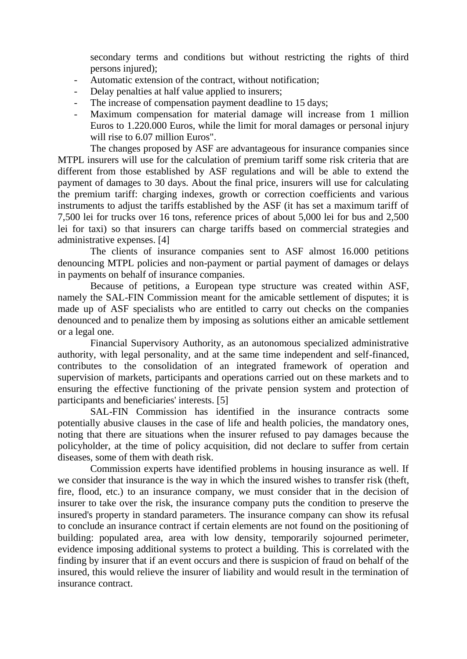secondary terms and conditions but without restricting the rights of third persons injured);

- Automatic extension of the contract, without notification;
- Delay penalties at half value applied to insurers;
- The increase of compensation payment deadline to 15 days;
- Maximum compensation for material damage will increase from 1 million Euros to 1.220.000 Euros, while the limit for moral damages or personal injury will rise to 6.07 million Euros".

The changes proposed by ASF are advantageous for insurance companies since MTPL insurers will use for the calculation of premium tariff some risk criteria that are different from those established by ASF regulations and will be able to extend the payment of damages to 30 days. About the final price, insurers will use for calculating the premium tariff: charging indexes, growth or correction coefficients and various instruments to adjust the tariffs established by the ASF (it has set a maximum tariff of 7,500 lei for trucks over 16 tons, reference prices of about 5,000 lei for bus and 2,500 lei for taxi) so that insurers can charge tariffs based on commercial strategies and administrative expenses. [4]

The clients of insurance companies sent to ASF almost 16.000 petitions denouncing MTPL policies and non-payment or partial payment of damages or delays in payments on behalf of insurance companies.

Because of petitions, a European type structure was created within ASF, namely the SAL-FIN Commission meant for the amicable settlement of disputes; it is made up of ASF specialists who are entitled to carry out checks on the companies denounced and to penalize them by imposing as solutions either an amicable settlement or a legal one.

Financial Supervisory Authority, as an autonomous specialized administrative authority, with legal personality, and at the same time independent and self-financed, contributes to the consolidation of an integrated framework of operation and supervision of markets, participants and operations carried out on these markets and to ensuring the effective functioning of the private pension system and protection of participants and beneficiaries' interests. [5]

SAL-FIN Commission has identified in the insurance contracts some potentially abusive clauses in the case of life and health policies, the mandatory ones, noting that there are situations when the insurer refused to pay damages because the policyholder, at the time of policy acquisition, did not declare to suffer from certain diseases, some of them with death risk.

Commission experts have identified problems in housing insurance as well. If we consider that insurance is the way in which the insured wishes to transfer risk (theft, fire, flood, etc.) to an insurance company, we must consider that in the decision of insurer to take over the risk, the insurance company puts the condition to preserve the insured's property in standard parameters. The insurance company can show its refusal to conclude an insurance contract if certain elements are not found on the positioning of building: populated area, area with low density, temporarily sojourned perimeter, evidence imposing additional systems to protect a building. This is correlated with the finding by insurer that if an event occurs and there is suspicion of fraud on behalf of the insured, this would relieve the insurer of liability and would result in the termination of insurance contract.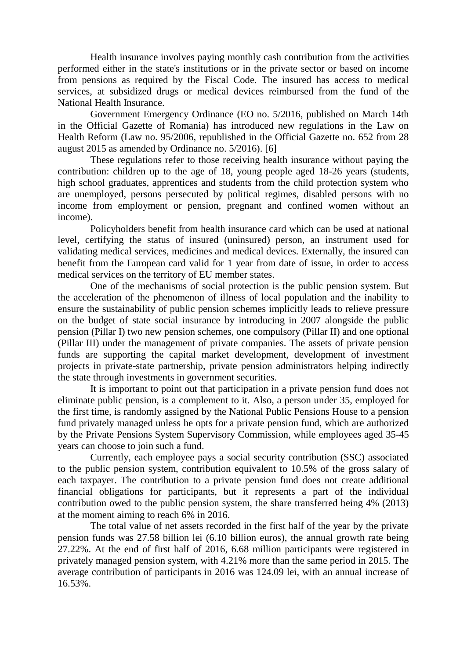Health insurance involves paying monthly cash contribution from the activities performed either in the state's institutions or in the private sector or based on income from pensions as required by the Fiscal Code. The insured has access to medical services, at subsidized drugs or medical devices reimbursed from the fund of the National Health Insurance.

Government Emergency Ordinance (EO no. 5/2016, published on March 14th in the Official Gazette of Romania) has introduced new regulations in the Law on Health Reform (Law no. 95/2006, republished in the Official Gazette no. 652 from 28 august 2015 as amended by Ordinance no. 5/2016). [6]

These regulations refer to those receiving health insurance without paying the contribution: children up to the age of 18, young people aged 18-26 years (students, high school graduates, apprentices and students from the child protection system who are unemployed, persons persecuted by political regimes, disabled persons with no income from employment or pension, pregnant and confined women without an income).

Policyholders benefit from health insurance card which can be used at national level, certifying the status of insured (uninsured) person, an instrument used for validating medical services, medicines and medical devices. Externally, the insured can benefit from the European card valid for 1 year from date of issue, in order to access medical services on the territory of EU member states.

One of the mechanisms of social protection is the public pension system. But the acceleration of the phenomenon of illness of local population and the inability to ensure the sustainability of public pension schemes implicitly leads to relieve pressure on the budget of state social insurance by introducing in 2007 alongside the public pension (Pillar I) two new pension schemes, one compulsory (Pillar II) and one optional (Pillar III) under the management of private companies. The assets of private pension funds are supporting the capital market development, development of investment projects in private-state partnership, private pension administrators helping indirectly the state through investments in government securities.

It is important to point out that participation in a private pension fund does not eliminate public pension, is a complement to it. Also, a person under 35, employed for the first time, is randomly assigned by the National Public Pensions House to a pension fund privately managed unless he opts for a private pension fund, which are authorized by the Private Pensions System Supervisory Commission, while employees aged 35-45 years can choose to join such a fund.

Currently, each employee pays a social security contribution (SSC) associated to the public pension system, contribution equivalent to 10.5% of the gross salary of each taxpayer. The contribution to a private pension fund does not create additional financial obligations for participants, but it represents a part of the individual contribution owed to the public pension system, the share transferred being 4% (2013) at the moment aiming to reach 6% in 2016.

The total value of net assets recorded in the first half of the year by the private pension funds was 27.58 billion lei (6.10 billion euros), the annual growth rate being 27.22%. At the end of first half of 2016, 6.68 million participants were registered in privately managed pension system, with 4.21% more than the same period in 2015. The average contribution of participants in 2016 was 124.09 lei, with an annual increase of 16.53%.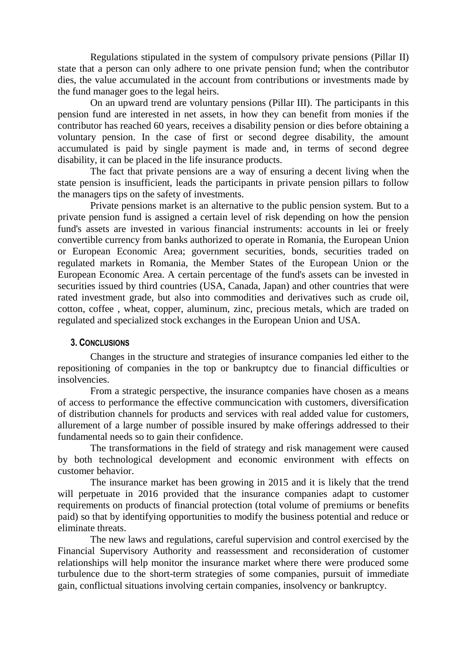Regulations stipulated in the system of compulsory private pensions (Pillar II) state that a person can only adhere to one private pension fund; when the contributor dies, the value accumulated in the account from contributions or investments made by the fund manager goes to the legal heirs.

On an upward trend are voluntary pensions (Pillar III). The participants in this pension fund are interested in net assets, in how they can benefit from monies if the contributor has reached 60 years, receives a disability pension or dies before obtaining a voluntary pension. In the case of first or second degree disability, the amount accumulated is paid by single payment is made and, in terms of second degree disability, it can be placed in the life insurance products.

The fact that private pensions are a way of ensuring a decent living when the state pension is insufficient, leads the participants in private pension pillars to follow the managers tips on the safety of investments.

Private pensions market is an alternative to the public pension system. But to a private pension fund is assigned a certain level of risk depending on how the pension fund's assets are invested in various financial instruments: accounts in lei or freely convertible currency from banks authorized to operate in Romania, the European Union or European Economic Area; government securities, bonds, securities traded on regulated markets in Romania, the Member States of the European Union or the European Economic Area. A certain percentage of the fund's assets can be invested in securities issued by third countries (USA, Canada, Japan) and other countries that were rated investment grade, but also into commodities and derivatives such as crude oil, cotton, coffee , wheat, copper, aluminum, zinc, precious metals, which are traded on regulated and specialized stock exchanges in the European Union and USA.

#### **3. CONCLUSIONS**

Changes in the structure and strategies of insurance companies led either to the repositioning of companies in the top or bankruptcy due to financial difficulties or insolvencies.

From a strategic perspective, the insurance companies have chosen as a means of access to performance the effective communcication with customers, diversification of distribution channels for products and services with real added value for customers, allurement of a large number of possible insured by make offerings addressed to their fundamental needs so to gain their confidence.

The transformations in the field of strategy and risk management were caused by both technological development and economic environment with effects on customer behavior.

The insurance market has been growing in 2015 and it is likely that the trend will perpetuate in 2016 provided that the insurance companies adapt to customer requirements on products of financial protection (total volume of premiums or benefits paid) so that by identifying opportunities to modify the business potential and reduce or eliminate threats.

The new laws and regulations, careful supervision and control exercised by the Financial Supervisory Authority and reassessment and reconsideration of customer relationships will help monitor the insurance market where there were produced some turbulence due to the short-term strategies of some companies, pursuit of immediate gain, conflictual situations involving certain companies, insolvency or bankruptcy.